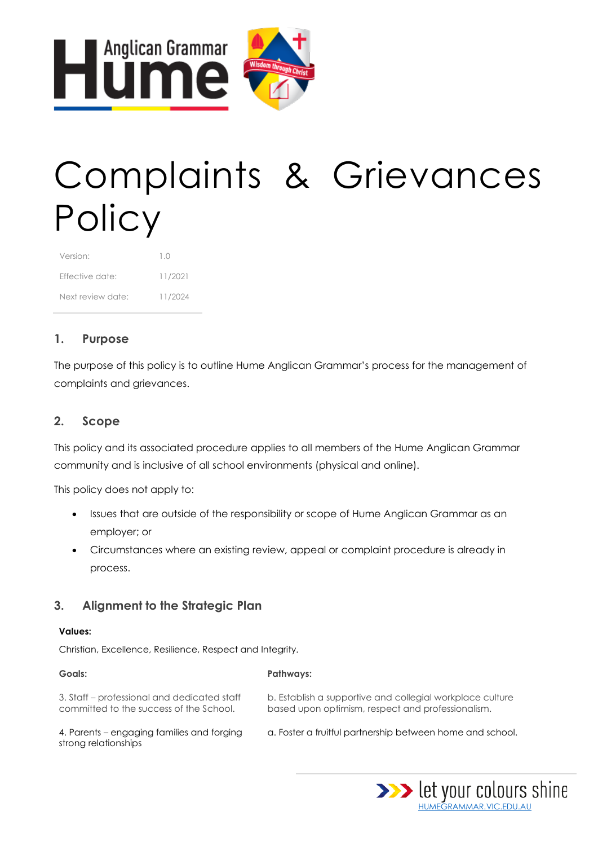

# Complaints & Grievances **Policy**

| Version:          | $1 \cap$ |
|-------------------|----------|
| Fffective date:   | 11/2021  |
| Next review date: | 11/2024  |

## **1. Purpose**

The purpose of this policy is to outline Hume Anglican Grammar's process for the management of complaints and grievances.

## **2. Scope**

This policy and its associated procedure applies to all members of the Hume Anglican Grammar community and is inclusive of all school environments (physical and online).

This policy does not apply to:

- Issues that are outside of the responsibility or scope of Hume Anglican Grammar as an employer; or
- Circumstances where an existing review, appeal or complaint procedure is already in process.

## **3. Alignment to the Strategic Plan**

#### **Values:**

Christian, Excellence, Resilience, Respect and Integrity.

| Goals:                                                                                 | <b>Pathways:</b>                                                                                               |
|----------------------------------------------------------------------------------------|----------------------------------------------------------------------------------------------------------------|
| 3. Staff – professional and dedicated staff<br>committed to the success of the School. | b. Establish a supportive and collegial workplace culture<br>based upon optimism, respect and professionalism. |
| 4. Parents – engaging families and forging<br>strong relationships                     | a. Foster a fruitful partnership between home and school.                                                      |

[HUMEGRAMMAR.VIC.EDU.AU](http://www.humegrammar.vic.edu.au/)

>>> let your colours shine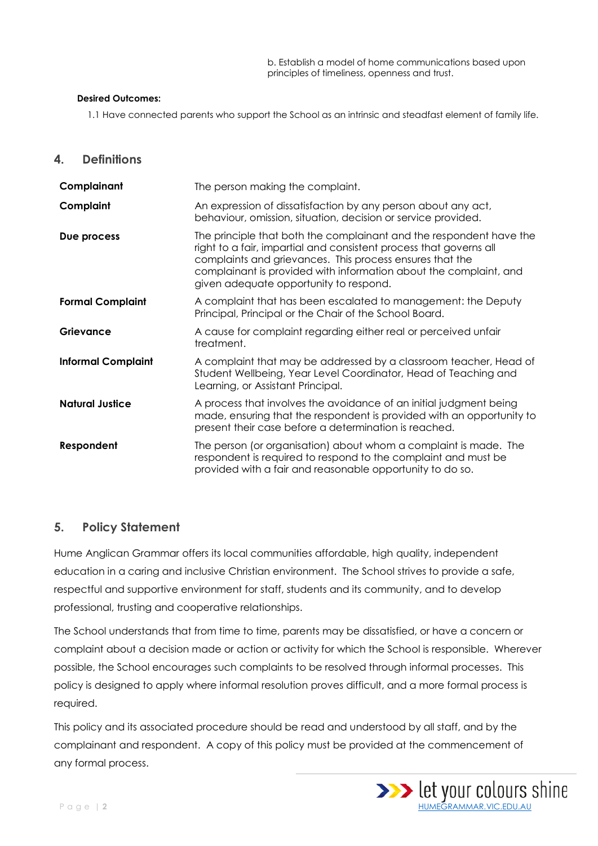b. Establish a model of home communications based upon principles of timeliness, openness and trust.

#### **Desired Outcomes:**

1.1 Have connected parents who support the School as an intrinsic and steadfast element of family life.

**4. Definitions**

| Complainant               | The person making the complaint.                                                                                                                                                                                                                                                                                     |
|---------------------------|----------------------------------------------------------------------------------------------------------------------------------------------------------------------------------------------------------------------------------------------------------------------------------------------------------------------|
| Complaint                 | An expression of dissatisfaction by any person about any act,<br>behaviour, omission, situation, decision or service provided.                                                                                                                                                                                       |
| Due process               | The principle that both the complainant and the respondent have the<br>right to a fair, impartial and consistent process that governs all<br>complaints and grievances. This process ensures that the<br>complainant is provided with information about the complaint, and<br>given adequate opportunity to respond. |
| <b>Formal Complaint</b>   | A complaint that has been escalated to management: the Deputy<br>Principal, Principal or the Chair of the School Board.                                                                                                                                                                                              |
| Grievance                 | A cause for complaint regarding either real or perceived unfair<br>treatment.                                                                                                                                                                                                                                        |
| <b>Informal Complaint</b> | A complaint that may be addressed by a classroom teacher, Head of<br>Student Wellbeing, Year Level Coordinator, Head of Teaching and<br>Learning, or Assistant Principal.                                                                                                                                            |
| <b>Natural Justice</b>    | A process that involves the avoidance of an initial judgment being<br>made, ensuring that the respondent is provided with an opportunity to<br>present their case before a determination is reached.                                                                                                                 |
| Respondent                | The person (or organisation) about whom a complaint is made. The<br>respondent is required to respond to the complaint and must be<br>provided with a fair and reasonable opportunity to do so.                                                                                                                      |

#### **5. Policy Statement**

Hume Anglican Grammar offers its local communities affordable, high quality, independent education in a caring and inclusive Christian environment. The School strives to provide a safe, respectful and supportive environment for staff, students and its community, and to develop professional, trusting and cooperative relationships.

The School understands that from time to time, parents may be dissatisfied, or have a concern or complaint about a decision made or action or activity for which the School is responsible. Wherever possible, the School encourages such complaints to be resolved through informal processes. This policy is designed to apply where informal resolution proves difficult, and a more formal process is required.

This policy and its associated procedure should be read and understood by all staff, and by the complainant and respondent. A copy of this policy must be provided at the commencement of any formal process.

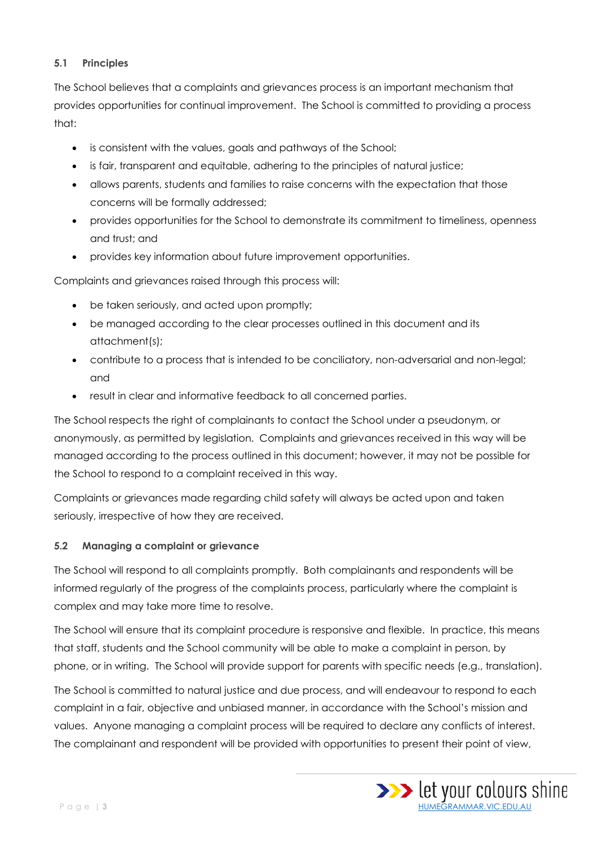#### **5.1 Principles**

The School believes that a complaints and grievances process is an important mechanism that provides opportunities for continual improvement. The School is committed to providing a process that:

- is consistent with the values, goals and pathways of the School;
- is fair, transparent and equitable, adhering to the principles of natural justice;
- allows parents, students and families to raise concerns with the expectation that those concerns will be formally addressed;
- provides opportunities for the School to demonstrate its commitment to timeliness, openness and trust; and
- provides key information about future improvement opportunities.

Complaints and grievances raised through this process will:

- be taken seriously, and acted upon promptly;
- be managed according to the clear processes outlined in this document and its attachment(s);
- contribute to a process that is intended to be conciliatory, non-adversarial and non-legal; and
- result in clear and informative feedback to all concerned parties.

The School respects the right of complainants to contact the School under a pseudonym, or anonymously, as permitted by legislation. Complaints and grievances received in this way will be managed according to the process outlined in this document; however, it may not be possible for the School to respond to a complaint received in this way.

Complaints or grievances made regarding child safety will always be acted upon and taken seriously, irrespective of how they are received.

#### **5.2 Managing a complaint or grievance**

The School will respond to all complaints promptly. Both complainants and respondents will be informed regularly of the progress of the complaints process, particularly where the complaint is complex and may take more time to resolve.

The School will ensure that its complaint procedure is responsive and flexible. In practice, this means that staff, students and the School community will be able to make a complaint in person, by phone, or in writing. The School will provide support for parents with specific needs (e.g., translation).

The School is committed to natural justice and due process, and will endeavour to respond to each complaint in a fair, objective and unbiased manner, in accordance with the School's mission and values. Anyone managing a complaint process will be required to declare any conflicts of interest. The complainant and respondent will be provided with opportunities to present their point of view,

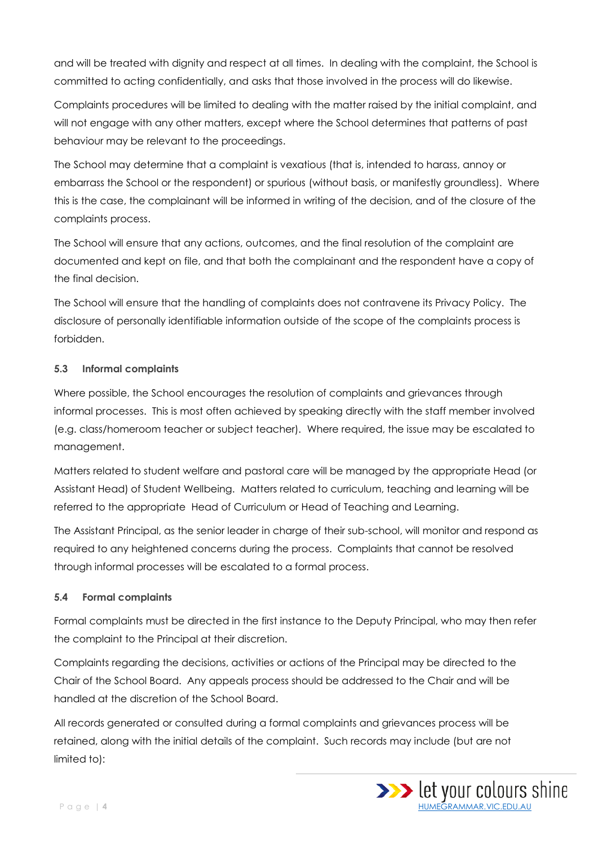and will be treated with dignity and respect at all times. In dealing with the complaint, the School is committed to acting confidentially, and asks that those involved in the process will do likewise.

Complaints procedures will be limited to dealing with the matter raised by the initial complaint, and will not engage with any other matters, except where the School determines that patterns of past behaviour may be relevant to the proceedings.

The School may determine that a complaint is vexatious (that is, intended to harass, annoy or embarrass the School or the respondent) or spurious (without basis, or manifestly groundless). Where this is the case, the complainant will be informed in writing of the decision, and of the closure of the complaints process.

The School will ensure that any actions, outcomes, and the final resolution of the complaint are documented and kept on file, and that both the complainant and the respondent have a copy of the final decision.

The School will ensure that the handling of complaints does not contravene its Privacy Policy. The disclosure of personally identifiable information outside of the scope of the complaints process is forbidden.

#### **5.3 Informal complaints**

Where possible, the School encourages the resolution of complaints and grievances through informal processes. This is most often achieved by speaking directly with the staff member involved (e.g. class/homeroom teacher or subject teacher). Where required, the issue may be escalated to management.

Matters related to student welfare and pastoral care will be managed by the appropriate Head (or Assistant Head) of Student Wellbeing. Matters related to curriculum, teaching and learning will be referred to the appropriate Head of Curriculum or Head of Teaching and Learning.

The Assistant Principal, as the senior leader in charge of their sub-school, will monitor and respond as required to any heightened concerns during the process. Complaints that cannot be resolved through informal processes will be escalated to a formal process.

#### **5.4 Formal complaints**

Formal complaints must be directed in the first instance to the Deputy Principal, who may then refer the complaint to the Principal at their discretion.

Complaints regarding the decisions, activities or actions of the Principal may be directed to the Chair of the School Board. Any appeals process should be addressed to the Chair and will be handled at the discretion of the School Board.

All records generated or consulted during a formal complaints and grievances process will be retained, along with the initial details of the complaint. Such records may include (but are not limited to):

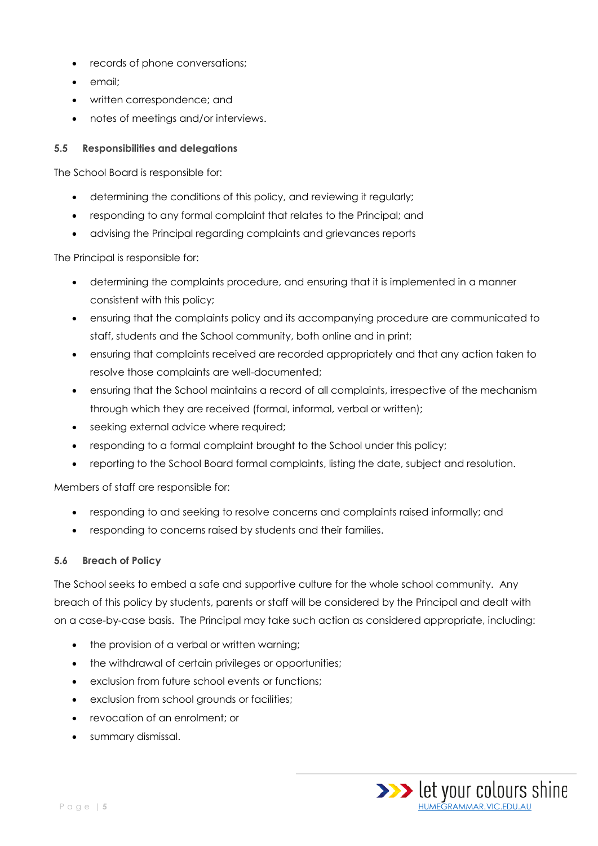- records of phone conversations;
- email;
- written correspondence; and
- notes of meetings and/or interviews.

#### **5.5 Responsibilities and delegations**

The School Board is responsible for:

- determining the conditions of this policy, and reviewing it regularly;
- responding to any formal complaint that relates to the Principal; and
- advising the Principal regarding complaints and grievances reports

The Principal is responsible for:

- determining the complaints procedure, and ensuring that it is implemented in a manner consistent with this policy;
- ensuring that the complaints policy and its accompanying procedure are communicated to staff, students and the School community, both online and in print;
- ensuring that complaints received are recorded appropriately and that any action taken to resolve those complaints are well-documented;
- ensuring that the School maintains a record of all complaints, irrespective of the mechanism through which they are received (formal, informal, verbal or written);
- seeking external advice where required;
- responding to a formal complaint brought to the School under this policy;
- reporting to the School Board formal complaints, listing the date, subject and resolution.

Members of staff are responsible for:

- responding to and seeking to resolve concerns and complaints raised informally; and
- responding to concerns raised by students and their families.

#### **5.6 Breach of Policy**

The School seeks to embed a safe and supportive culture for the whole school community. Any breach of this policy by students, parents or staff will be considered by the Principal and dealt with on a case-by-case basis. The Principal may take such action as considered appropriate, including:

- the provision of a verbal or written warning;
- the withdrawal of certain privileges or opportunities;
- exclusion from future school events or functions;
- exclusion from school grounds or facilities;
- revocation of an enrolment; or
- summary dismissal.

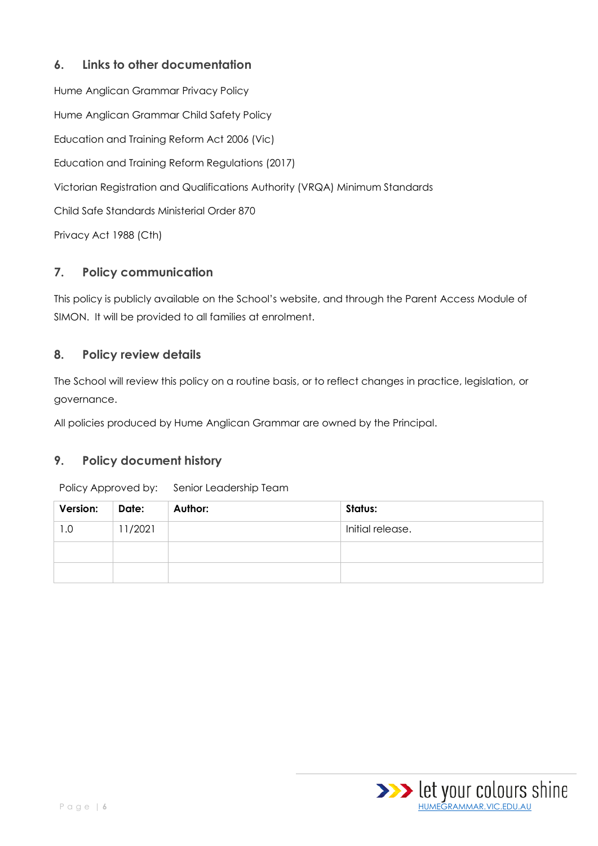## **6. Links to other documentation**

Hume Anglican Grammar Privacy Policy Hume Anglican Grammar Child Safety Policy Education and Training Reform Act 2006 (Vic) Education and Training Reform Regulations (2017) Victorian Registration and Qualifications Authority (VRQA) Minimum Standards Child Safe Standards Ministerial Order 870 Privacy Act 1988 (Cth)

## **7. Policy communication**

This policy is publicly available on the School's website, and through the Parent Access Module of SIMON. It will be provided to all families at enrolment.

### **8. Policy review details**

The School will review this policy on a routine basis, or to reflect changes in practice, legislation, or governance.

All policies produced by Hume Anglican Grammar are owned by the Principal.

## **9. Policy document history**

| Version: | Date:   | Author: | Status:          |
|----------|---------|---------|------------------|
| 1.0      | 11/2021 |         | Initial release. |
|          |         |         |                  |
|          |         |         |                  |

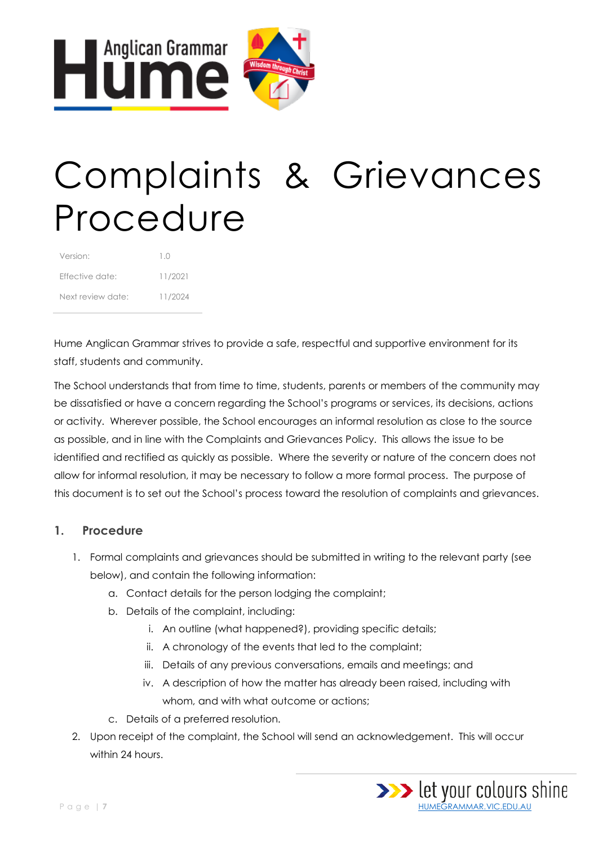

## Complaints & Grievances Procedure

| Version:          | 10      |
|-------------------|---------|
| Fffective date:   | 11/2021 |
| Next review date: | 11/2024 |

Hume Anglican Grammar strives to provide a safe, respectful and supportive environment for its staff, students and community.

The School understands that from time to time, students, parents or members of the community may be dissatisfied or have a concern regarding the School's programs or services, its decisions, actions or activity. Wherever possible, the School encourages an informal resolution as close to the source as possible, and in line with the Complaints and Grievances Policy. This allows the issue to be identified and rectified as quickly as possible. Where the severity or nature of the concern does not allow for informal resolution, it may be necessary to follow a more formal process. The purpose of this document is to set out the School's process toward the resolution of complaints and grievances.

## **1. Procedure**

- 1. Formal complaints and grievances should be submitted in writing to the relevant party (see below), and contain the following information:
	- a. Contact details for the person lodging the complaint;
	- b. Details of the complaint, including:
		- i. An outline (what happened?), providing specific details;
		- ii. A chronology of the events that led to the complaint;
		- iii. Details of any previous conversations, emails and meetings; and
		- iv. A description of how the matter has already been raised, including with whom, and with what outcome or actions;
	- c. Details of a preferred resolution.
- 2. Upon receipt of the complaint, the School will send an acknowledgement. This will occur within 24 hours.

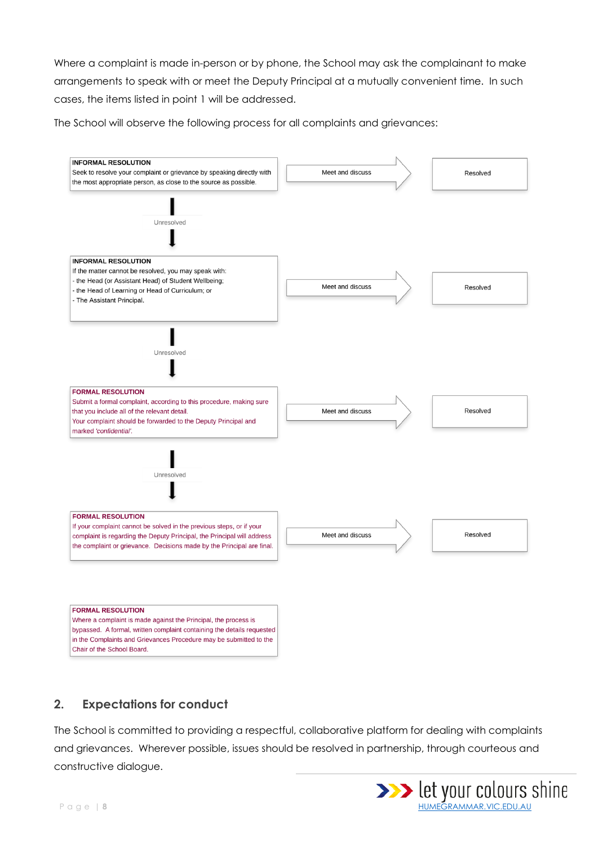Where a complaint is made in-person or by phone, the School may ask the complainant to make arrangements to speak with or meet the Deputy Principal at a mutually convenient time. In such cases, the items listed in point 1 will be addressed.

The School will observe the following process for all complaints and grievances:



## **2. Expectations for conduct**

The School is committed to providing a respectful, collaborative platform for dealing with complaints and grievances. Wherever possible, issues should be resolved in partnership, through courteous and constructive dialogue.

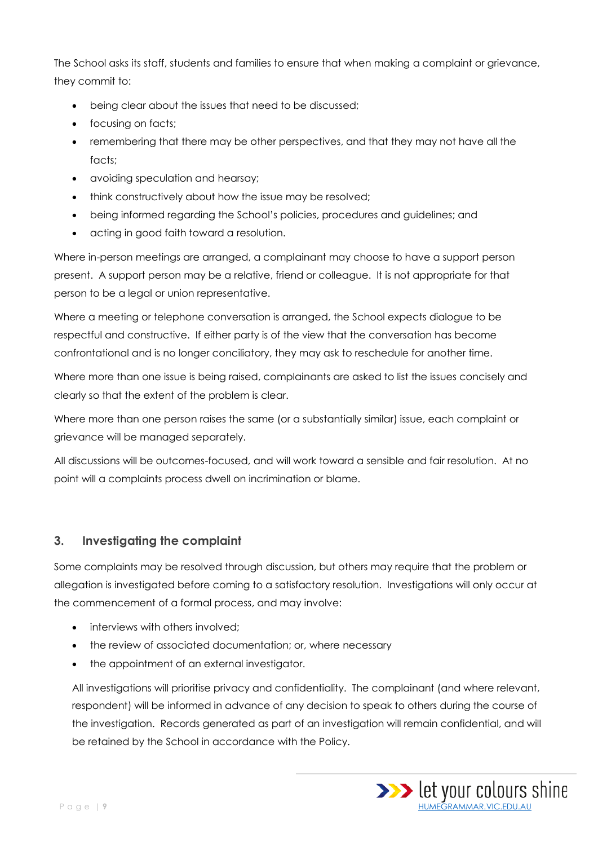The School asks its staff, students and families to ensure that when making a complaint or grievance, they commit to:

- being clear about the issues that need to be discussed;
- focusing on facts;
- remembering that there may be other perspectives, and that they may not have all the facts:
- avoiding speculation and hearsay;
- think constructively about how the issue may be resolved;
- being informed regarding the School's policies, procedures and guidelines; and
- acting in good faith toward a resolution.

Where in-person meetings are arranged, a complainant may choose to have a support person present. A support person may be a relative, friend or colleague. It is not appropriate for that person to be a legal or union representative.

Where a meeting or telephone conversation is arranged, the School expects dialogue to be respectful and constructive. If either party is of the view that the conversation has become confrontational and is no longer conciliatory, they may ask to reschedule for another time.

Where more than one issue is being raised, complainants are asked to list the issues concisely and clearly so that the extent of the problem is clear.

Where more than one person raises the same (or a substantially similar) issue, each complaint or grievance will be managed separately.

All discussions will be outcomes-focused, and will work toward a sensible and fair resolution. At no point will a complaints process dwell on incrimination or blame.

#### **3. Investigating the complaint**

Some complaints may be resolved through discussion, but others may require that the problem or allegation is investigated before coming to a satisfactory resolution. Investigations will only occur at the commencement of a formal process, and may involve:

- interviews with others involved;
- the review of associated documentation; or, where necessary
- the appointment of an external investigator.

All investigations will prioritise privacy and confidentiality. The complainant (and where relevant, respondent) will be informed in advance of any decision to speak to others during the course of the investigation. Records generated as part of an investigation will remain confidential, and will be retained by the School in accordance with the Policy.